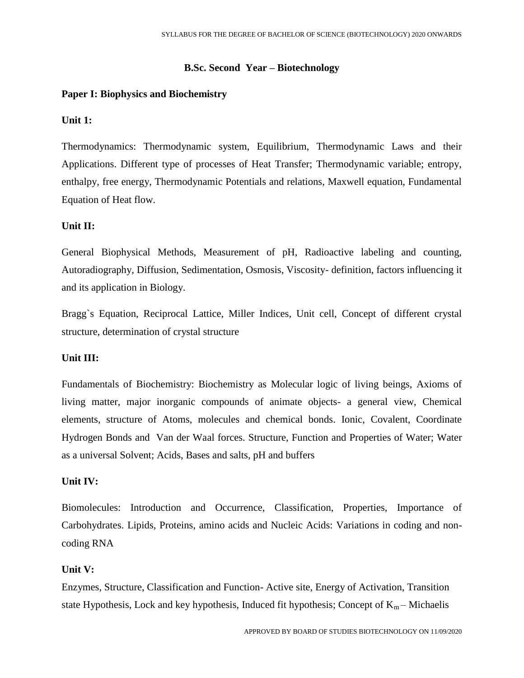# **B.Sc. Second Year – Biotechnology**

# **Paper I: Biophysics and Biochemistry**

# **Unit 1:**

Thermodynamics: Thermodynamic system, Equilibrium, Thermodynamic Laws and their Applications. Different type of processes of Heat Transfer; Thermodynamic variable; entropy, enthalpy, free energy, Thermodynamic Potentials and relations, Maxwell equation, Fundamental Equation of Heat flow.

# **Unit II:**

General Biophysical Methods, Measurement of pH, Radioactive labeling and counting, Autoradiography, Diffusion, Sedimentation, Osmosis, Viscosity- definition, factors influencing it and its application in Biology.

Bragg`s Equation, Reciprocal Lattice, Miller Indices, Unit cell, Concept of different crystal structure, determination of crystal structure

## **Unit III:**

Fundamentals of Biochemistry: Biochemistry as Molecular logic of living beings, Axioms of living matter, major inorganic compounds of animate objects- a general view, Chemical elements, structure of Atoms, molecules and chemical bonds. Ionic, Covalent, Coordinate Hydrogen Bonds and Van der Waal forces. Structure, Function and Properties of Water; Water as a universal Solvent; Acids, Bases and salts, pH and buffers

## **Unit IV:**

Biomolecules: Introduction and Occurrence, Classification, Properties, Importance of Carbohydrates. Lipids, Proteins, amino acids and Nucleic Acids: Variations in coding and noncoding RNA

## **Unit V:**

Enzymes, Structure, Classification and Function- Active site, Energy of Activation, Transition state Hypothesis, Lock and key hypothesis, Induced fit hypothesis; Concept of  $K_m$  – Michaelis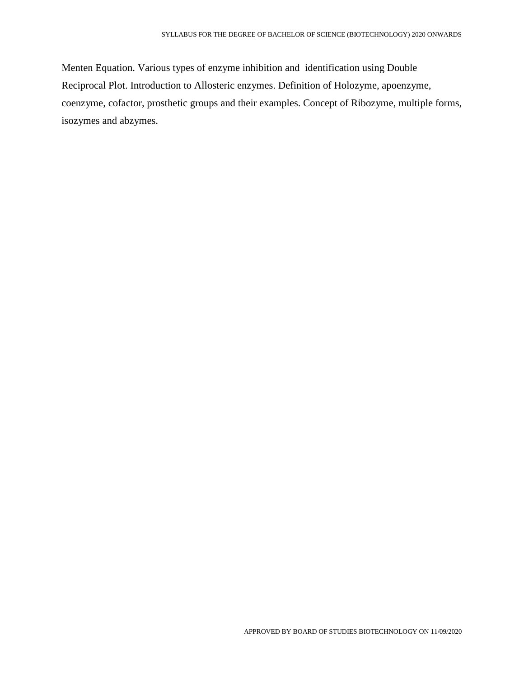Menten Equation. Various types of enzyme inhibition and identification using Double Reciprocal Plot. Introduction to Allosteric enzymes. Definition of Holozyme, apoenzyme, coenzyme, cofactor, prosthetic groups and their examples. Concept of Ribozyme, multiple forms, isozymes and abzymes.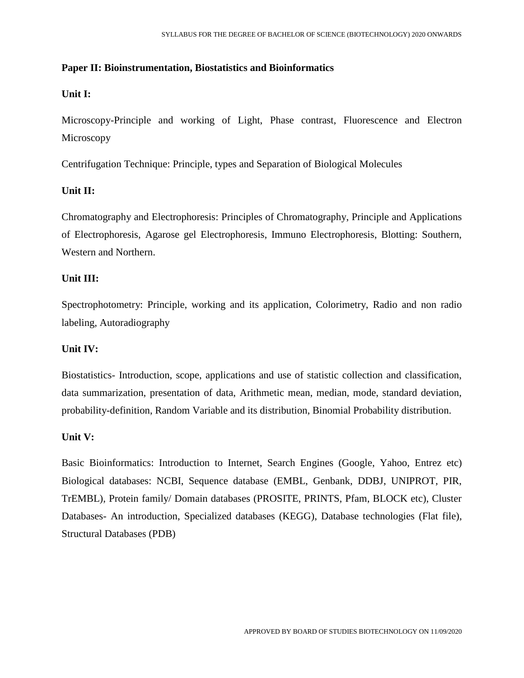# **Paper II: Bioinstrumentation, Biostatistics and Bioinformatics**

# **Unit I:**

Microscopy-Principle and working of Light, Phase contrast, Fluorescence and Electron **Microscopy** 

Centrifugation Technique: Principle, types and Separation of Biological Molecules

# **Unit II:**

Chromatography and Electrophoresis: Principles of Chromatography, Principle and Applications of Electrophoresis, Agarose gel Electrophoresis, Immuno Electrophoresis, Blotting: Southern, Western and Northern.

## **Unit III:**

Spectrophotometry: Principle, working and its application, Colorimetry, Radio and non radio labeling, Autoradiography

## **Unit IV:**

Biostatistics- Introduction, scope, applications and use of statistic collection and classification, data summarization, presentation of data, Arithmetic mean, median, mode, standard deviation, probability-definition, Random Variable and its distribution, Binomial Probability distribution.

## **Unit V:**

Basic Bioinformatics: Introduction to Internet, Search Engines (Google, Yahoo, Entrez etc) Biological databases: NCBI, Sequence database (EMBL, Genbank, DDBJ, UNIPROT, PIR, TrEMBL), Protein family/ Domain databases (PROSITE, PRINTS, Pfam, BLOCK etc), Cluster Databases- An introduction, Specialized databases (KEGG), Database technologies (Flat file), Structural Databases (PDB)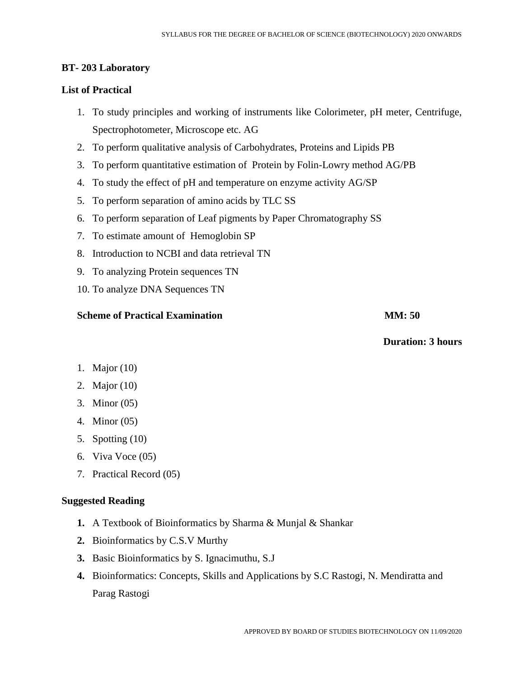# **BT- 203 Laboratory**

# **List of Practical**

- 1. To study principles and working of instruments like Colorimeter, pH meter, Centrifuge, Spectrophotometer, Microscope etc. AG
- 2. To perform qualitative analysis of Carbohydrates, Proteins and Lipids PB
- 3. To perform quantitative estimation of Protein by Folin-Lowry method AG/PB
- 4. To study the effect of pH and temperature on enzyme activity AG/SP
- 5. To perform separation of amino acids by TLC SS
- 6. To perform separation of Leaf pigments by Paper Chromatography SS
- 7. To estimate amount of Hemoglobin SP
- 8. Introduction to NCBI and data retrieval TN
- 9. To analyzing Protein sequences TN
- 10. To analyze DNA Sequences TN

# **Scheme of Practical Examination MM: 50**

**Duration: 3 hours**

# 1. Major (10)

- 2. Major (10)
- 3. Minor (05)
- 4. Minor (05)
- 5. Spotting (10)
- 6. Viva Voce (05)
- 7. Practical Record (05)

## **Suggested Reading**

- **1.** A Textbook of Bioinformatics by Sharma & Munjal & Shankar
- **2.** Bioinformatics by C.S.V Murthy
- **3.** Basic Bioinformatics by S. Ignacimuthu, S.J
- **4.** Bioinformatics: Concepts, Skills and Applications by S.C Rastogi, N. Mendiratta and Parag Rastogi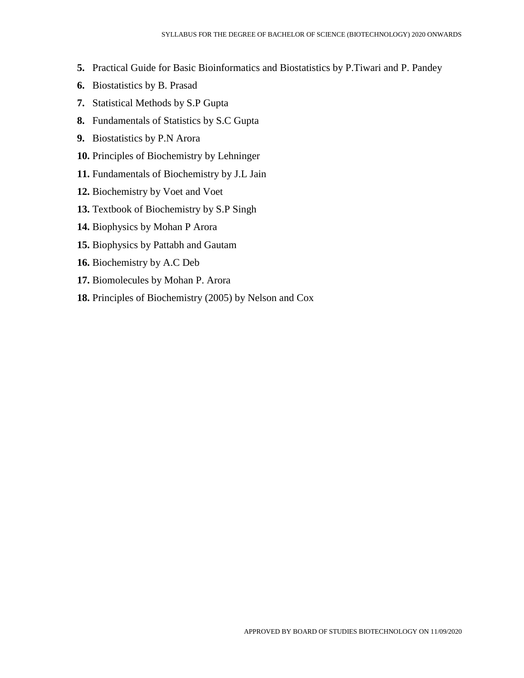- **5.** Practical Guide for Basic Bioinformatics and Biostatistics by P.Tiwari and P. Pandey
- **6.** Biostatistics by B. Prasad
- **7.** Statistical Methods by S.P Gupta
- **8.** Fundamentals of Statistics by S.C Gupta
- **9.** Biostatistics by P.N Arora
- **10.** Principles of Biochemistry by Lehninger
- **11.** Fundamentals of Biochemistry by J.L Jain
- **12.** Biochemistry by Voet and Voet
- **13.** Textbook of Biochemistry by S.P Singh
- **14.** Biophysics by Mohan P Arora
- **15.** Biophysics by Pattabh and Gautam
- **16.** Biochemistry by A.C Deb
- **17.** Biomolecules by Mohan P. Arora
- **18.** Principles of Biochemistry (2005) by Nelson and Cox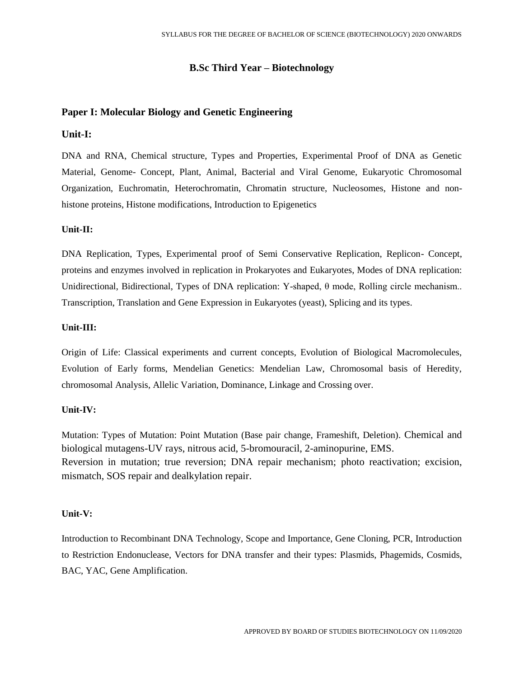## **B.Sc Third Year – Biotechnology**

## **Paper I: Molecular Biology and Genetic Engineering**

### **Unit-I:**

DNA and RNA, Chemical structure, Types and Properties, Experimental Proof of DNA as Genetic Material, Genome- Concept, Plant, Animal, Bacterial and Viral Genome, Eukaryotic Chromosomal Organization, Euchromatin, Heterochromatin, Chromatin structure, Nucleosomes, Histone and nonhistone proteins, Histone modifications, Introduction to Epigenetics

#### **Unit-II:**

DNA Replication, Types, Experimental proof of Semi Conservative Replication, Replicon- Concept, proteins and enzymes involved in replication in Prokaryotes and Eukaryotes, Modes of DNA replication: Unidirectional, Bidirectional, Types of DNA replication: Y-shaped, θ mode, Rolling circle mechanism.. Transcription, Translation and Gene Expression in Eukaryotes (yeast), Splicing and its types.

#### **Unit-III:**

Origin of Life: Classical experiments and current concepts, Evolution of Biological Macromolecules, Evolution of Early forms, Mendelian Genetics: Mendelian Law, Chromosomal basis of Heredity, chromosomal Analysis, Allelic Variation, Dominance, Linkage and Crossing over.

## **Unit-IV:**

Mutation: Types of Mutation: Point Mutation (Base pair change, Frameshift, Deletion). Chemical and biological mutagens-UV rays, nitrous acid, 5-bromouracil, 2-aminopurine, EMS. Reversion in mutation; true reversion; DNA repair mechanism; photo reactivation; excision, mismatch, SOS repair and dealkylation repair.

#### **Unit-V:**

Introduction to Recombinant DNA Technology, Scope and Importance, Gene Cloning, PCR, Introduction to Restriction Endonuclease, Vectors for DNA transfer and their types: Plasmids, Phagemids, Cosmids, BAC, YAC, Gene Amplification.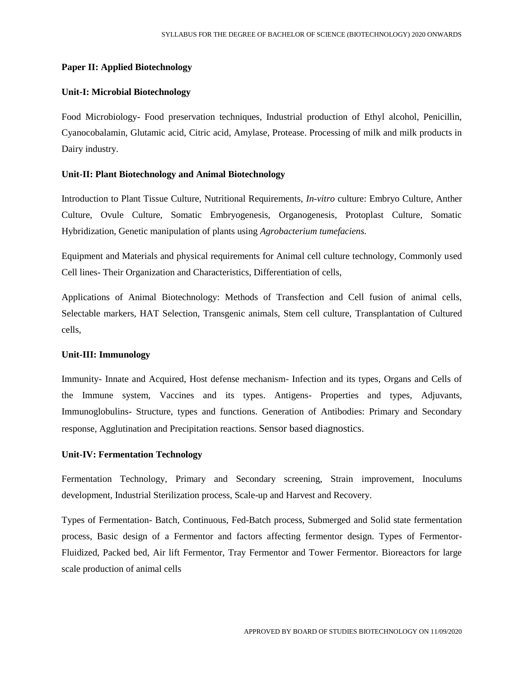### **Paper II: Applied Biotechnology**

#### **Unit-I: Microbial Biotechnology**

Food Microbiology- Food preservation techniques, Industrial production of Ethyl alcohol, Penicillin, Cyanocobalamin, Glutamic acid, Citric acid, Amylase, Protease. Processing of milk and milk products in Dairy industry.

## **Unit-II: Plant Biotechnology and Animal Biotechnology**

Introduction to Plant Tissue Culture, Nutritional Requirements, *In-vitro* culture: Embryo Culture, Anther Culture, Ovule Culture, Somatic Embryogenesis, Organogenesis, Protoplast Culture, Somatic Hybridization, Genetic manipulation of plants using *Agrobacterium tumefaciens.*

Equipment and Materials and physical requirements for Animal cell culture technology, Commonly used Cell lines- Their Organization and Characteristics, Differentiation of cells,

Applications of Animal Biotechnology: Methods of Transfection and Cell fusion of animal cells, Selectable markers, HAT Selection, Transgenic animals, Stem cell culture, Transplantation of Cultured cells,

#### **Unit-III: Immunology**

Immunity- Innate and Acquired, Host defense mechanism- Infection and its types, Organs and Cells of the Immune system, Vaccines and its types. Antigens- Properties and types, Adjuvants, Immunoglobulins- Structure, types and functions. Generation of Antibodies: Primary and Secondary response, Agglutination and Precipitation reactions. Sensor based diagnostics.

#### **Unit-IV: Fermentation Technology**

Fermentation Technology, Primary and Secondary screening, Strain improvement, Inoculums development, Industrial Sterilization process, Scale-up and Harvest and Recovery.

Types of Fermentation- Batch, Continuous, Fed-Batch process, Submerged and Solid state fermentation process, Basic design of a Fermentor and factors affecting fermentor design. Types of Fermentor-Fluidized, Packed bed, Air lift Fermentor, Tray Fermentor and Tower Fermentor. Bioreactors for large scale production of animal cells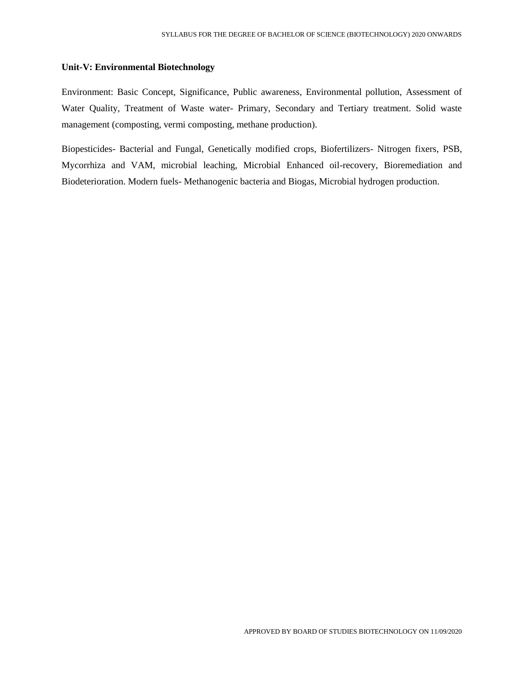#### **Unit-V: Environmental Biotechnology**

Environment: Basic Concept, Significance, Public awareness, Environmental pollution, Assessment of Water Quality, Treatment of Waste water- Primary, Secondary and Tertiary treatment. Solid waste management (composting, vermi composting, methane production).

Biopesticides- Bacterial and Fungal, Genetically modified crops, Biofertilizers- Nitrogen fixers, PSB, Mycorrhiza and VAM, microbial leaching, Microbial Enhanced oil-recovery, Bioremediation and Biodeterioration. Modern fuels- Methanogenic bacteria and Biogas, Microbial hydrogen production.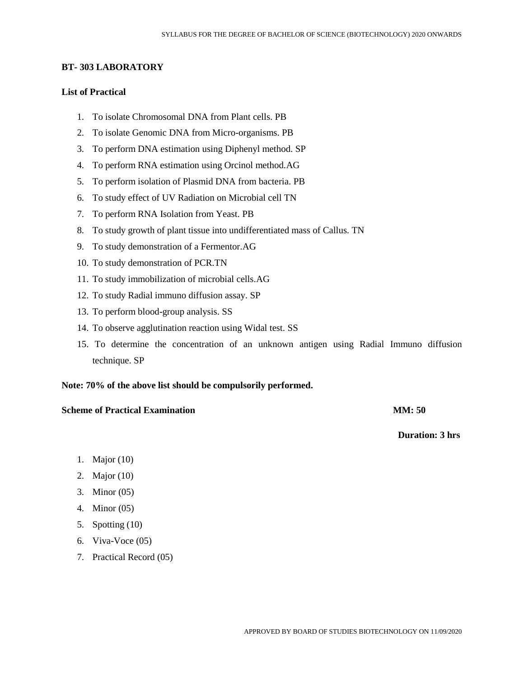## **BT- 303 LABORATORY**

## **List of Practical**

- 1. To isolate Chromosomal DNA from Plant cells. PB
- 2. To isolate Genomic DNA from Micro-organisms. PB
- 3. To perform DNA estimation using Diphenyl method. SP
- 4. To perform RNA estimation using Orcinol method.AG
- 5. To perform isolation of Plasmid DNA from bacteria. PB
- 6. To study effect of UV Radiation on Microbial cell TN
- 7. To perform RNA Isolation from Yeast. PB
- 8. To study growth of plant tissue into undifferentiated mass of Callus. TN
- 9. To study demonstration of a Fermentor.AG
- 10. To study demonstration of PCR.TN
- 11. To study immobilization of microbial cells.AG
- 12. To study Radial immuno diffusion assay. SP
- 13. To perform blood-group analysis. SS
- 14. To observe agglutination reaction using Widal test. SS
- 15. To determine the concentration of an unknown antigen using Radial Immuno diffusion technique. SP

#### **Note: 70% of the above list should be compulsorily performed.**

#### **Scheme of Practical Examination MM: 50**

 **Duration: 3 hrs**

- 1. Major (10)
- 2. Major (10)
- 3. Minor (05)
- 4. Minor (05)
- 5. Spotting (10)
- 6. Viva-Voce (05)
- 7. Practical Record (05)